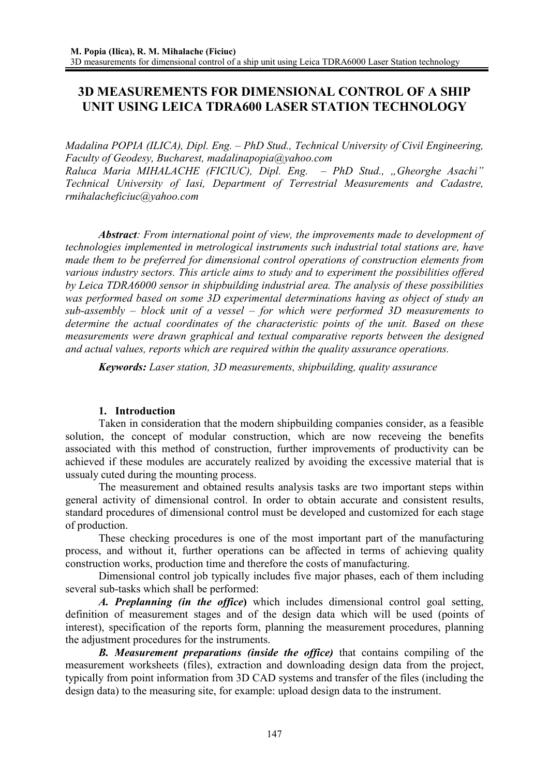# **3D MEASUREMENTS FOR DIMENSIONAL CONTROL OF A SHIP UNIT USING LEICA TDRA600 LASER STATION TECHNOLOGY**

*Madalina POPIA (ILICA), Dipl. Eng. – PhD Stud., Technical University of Civil Engineering, Faculty of Geodesy, Bucharest, madalinapopia@yahoo.com* 

*Raluca Maria MIHALACHE (FICIUC), Dipl. Eng. – PhD Stud., "Gheorghe Asachi" Technical University of Iasi, Department of Terrestrial Measurements and Cadastre, rmihalacheficiuc@yahoo.com* 

*Abstract: From international point of view, the improvements made to development of technologies implemented in metrological instruments such industrial total stations are, have made them to be preferred for dimensional control operations of construction elements from various industry sectors. This article aims to study and to experiment the possibilities offered by Leica TDRA6000 sensor in shipbuilding industrial area. The analysis of these possibilities was performed based on some 3D experimental determinations having as object of study an sub-assembly – block unit of a vessel – for which were performed 3D measurements to determine the actual coordinates of the characteristic points of the unit. Based on these measurements were drawn graphical and textual comparative reports between the designed and actual values, reports which are required within the quality assurance operations.*

*Keywords: Laser station, 3D measurements, shipbuilding, quality assurance* 

### **1. Introduction**

Taken in consideration that the modern shipbuilding companies consider, as a feasible solution, the concept of modular construction, which are now receveing the benefits associated with this method of construction, further improvements of productivity can be achieved if these modules are accurately realized by avoiding the excessive material that is ussualy cuted during the mounting process.

The measurement and obtained results analysis tasks are two important steps within general activity of dimensional control. In order to obtain accurate and consistent results, standard procedures of dimensional control must be developed and customized for each stage of production.

These checking procedures is one of the most important part of the manufacturing process, and without it, further operations can be affected in terms of achieving quality construction works, production time and therefore the costs of manufacturing.

Dimensional control job typically includes five major phases, each of them including several sub-tasks which shall be performed:

*A. Preplanning (in the office***)** which includes dimensional control goal setting, definition of measurement stages and of the design data which will be used (points of interest), specification of the reports form, planning the measurement procedures, planning the adjustment procedures for the instruments.

*B. Measurement preparations (inside the office)* that contains compiling of the measurement worksheets (files), extraction and downloading design data from the project, typically from point information from 3D CAD systems and transfer of the files (including the design data) to the measuring site, for example: upload design data to the instrument.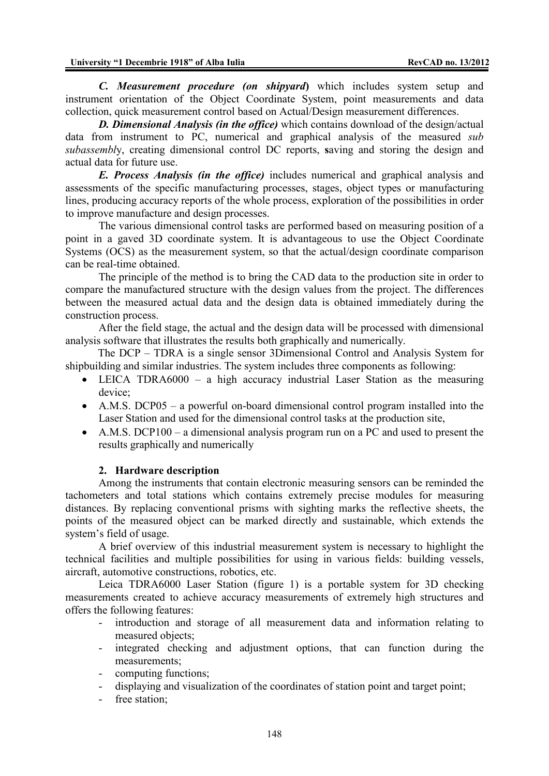*C. Measurement procedure (on shipyard***)** which includes system setup and instrument orientation of the Object Coordinate System, point measurements and data collection, quick measurement control based on Actual/Design measurement differences.

*D. Dimensional Analysis (in the office)* which contains download of the design/actual data from instrument to PC, numerical and graphical analysis of the measured *sub subassembl*y, creating dimensional control DC reports, **s**aving and storing the design and actual data for future use.

*E. Process Analysis (in the office)* includes numerical and graphical analysis and assessments of the specific manufacturing processes, stages, object types or manufacturing lines, producing accuracy reports of the whole process, exploration of the possibilities in order to improve manufacture and design processes.

The various dimensional control tasks are performed based on measuring position of a point in a gaved 3D coordinate system. It is advantageous to use the Object Coordinate Systems (OCS) as the measurement system, so that the actual/design coordinate comparison can be real-time obtained.

The principle of the method is to bring the CAD data to the production site in order to compare the manufactured structure with the design values from the project. The differences between the measured actual data and the design data is obtained immediately during the construction process.

After the field stage, the actual and the design data will be processed with dimensional analysis software that illustrates the results both graphically and numerically.

The DCP – TDRA is a single sensor 3Dimensional Control and Analysis System for shipbuilding and similar industries. The system includes three components as following:

- LEICA TDRA6000 a high accuracy industrial Laser Station as the measuring device;
- A.M.S. DCP05 a powerful on-board dimensional control program installed into the Laser Station and used for the dimensional control tasks at the production site,
- A.M.S. DCP100 a dimensional analysis program run on a PC and used to present the results graphically and numerically

### **2. Hardware description**

Among the instruments that contain electronic measuring sensors can be reminded the tachometers and total stations which contains extremely precise modules for measuring distances. By replacing conventional prisms with sighting marks the reflective sheets, the points of the measured object can be marked directly and sustainable, which extends the system's field of usage.

A brief overview of this industrial measurement system is necessary to highlight the technical facilities and multiple possibilities for using in various fields: building vessels, aircraft, automotive constructions, robotics, etc.

Leica TDRA6000 Laser Station (figure 1) is a portable system for 3D checking measurements created to achieve accuracy measurements of extremely high structures and offers the following features:

- introduction and storage of all measurement data and information relating to measured objects;
- integrated checking and adjustment options, that can function during the measurements;
- computing functions;
- displaying and visualization of the coordinates of station point and target point;
- free station;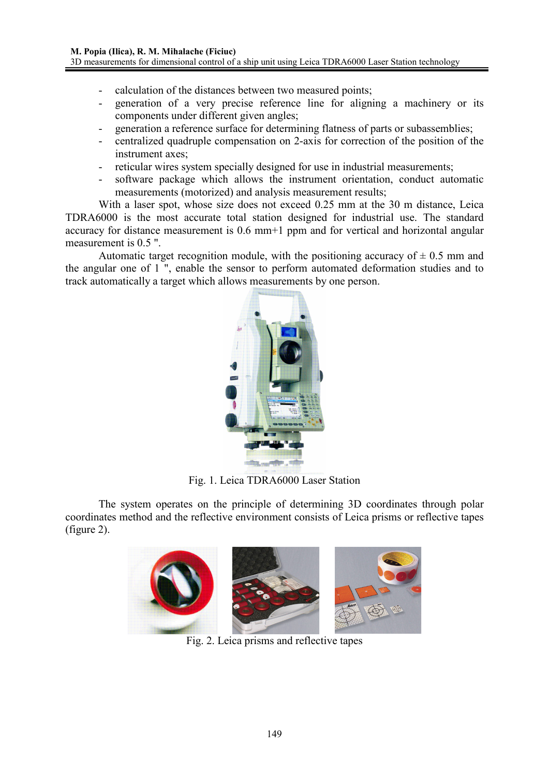- calculation of the distances between two measured points;
- generation of a very precise reference line for aligning a machinery or its components under different given angles;
- generation a reference surface for determining flatness of parts or subassemblies;
- centralized quadruple compensation on 2-axis for correction of the position of the instrument axes;
- reticular wires system specially designed for use in industrial measurements;
- software package which allows the instrument orientation, conduct automatic measurements (motorized) and analysis measurement results;

With a laser spot, whose size does not exceed 0.25 mm at the 30 m distance, Leica TDRA6000 is the most accurate total station designed for industrial use. The standard accuracy for distance measurement is 0.6 mm<sup>+1</sup> ppm and for vertical and horizontal angular measurement is 0.5 ".

Automatic target recognition module, with the positioning accuracy of  $\pm$  0.5 mm and the angular one of 1 ", enable the sensor to perform automated deformation studies and to track automatically a target which allows measurements by one person.



Fig. 1. Leica TDRA6000 Laser Station

The system operates on the principle of determining 3D coordinates through polar coordinates method and the reflective environment consists of Leica prisms or reflective tapes (figure 2).



Fig. 2. Leica prisms and reflective tapes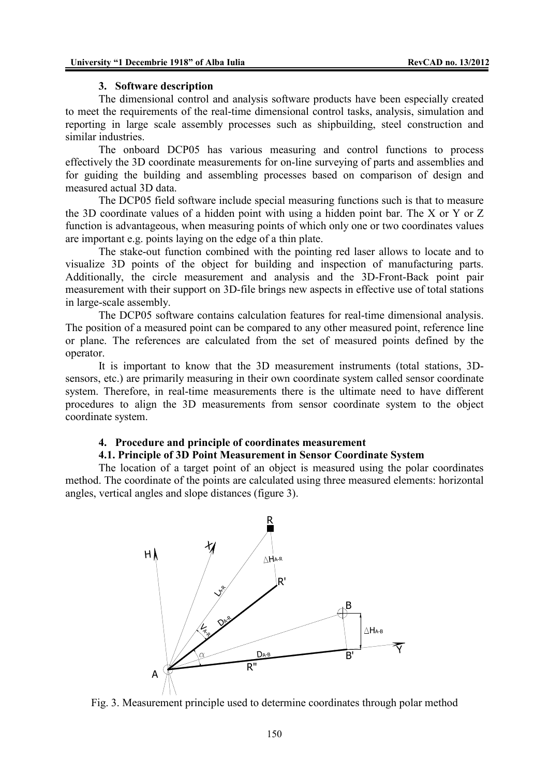#### **3. Software description**

The dimensional control and analysis software products have been especially created to meet the requirements of the real-time dimensional control tasks, analysis, simulation and reporting in large scale assembly processes such as shipbuilding, steel construction and similar industries.

The onboard DCP05 has various measuring and control functions to process effectively the 3D coordinate measurements for on-line surveying of parts and assemblies and for guiding the building and assembling processes based on comparison of design and measured actual 3D data.

The DCP05 field software include special measuring functions such is that to measure the 3D coordinate values of a hidden point with using a hidden point bar. The X or Y or Z function is advantageous, when measuring points of which only one or two coordinates values are important e.g. points laying on the edge of a thin plate.

The stake-out function combined with the pointing red laser allows to locate and to visualize 3D points of the object for building and inspection of manufacturing parts. Additionally, the circle measurement and analysis and the 3D-Front-Back point pair measurement with their support on 3D-file brings new aspects in effective use of total stations in large-scale assembly.

The DCP05 software contains calculation features for real-time dimensional analysis. The position of a measured point can be compared to any other measured point, reference line or plane. The references are calculated from the set of measured points defined by the operator.

It is important to know that the 3D measurement instruments (total stations, 3Dsensors, etc.) are primarily measuring in their own coordinate system called sensor coordinate system. Therefore, in real-time measurements there is the ultimate need to have different procedures to align the 3D measurements from sensor coordinate system to the object coordinate system.

### **4. Procedure and principle of coordinates measurement**

### **4.1. Principle of 3D Point Measurement in Sensor Coordinate System**

The location of a target point of an object is measured using the polar coordinates method. The coordinate of the points are calculated using three measured elements: horizontal angles, vertical angles and slope distances (figure 3).



Fig. 3. Measurement principle used to determine coordinates through polar method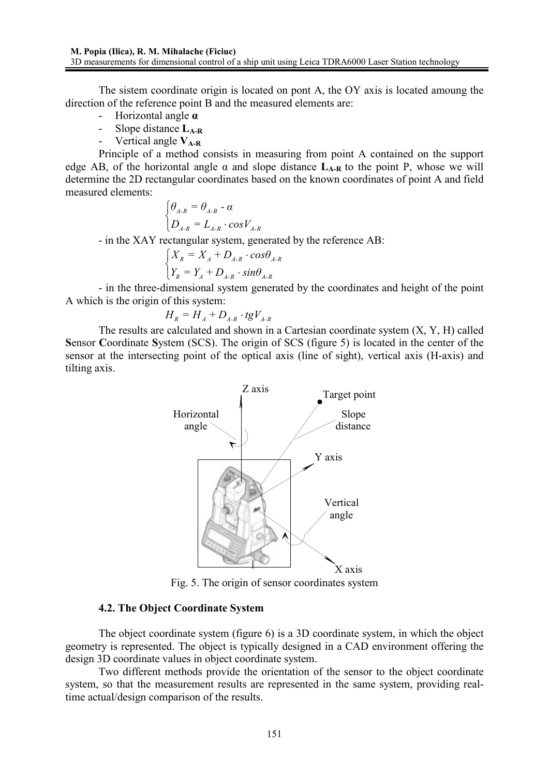The sistem coordinate origin is located on pont A, the OY axis is located amoung the direction of the reference point B and the measured elements are:

- Horizontal angle **α**
- Slope distance  $L_{A-R}$ <br>- Vertical angle  $V_{A-P}$
- Vertical angle **VA-R**

Principle of a method consists in measuring from point A contained on the support edge AB, of the horizontal angle  $\alpha$  and slope distance  $L_{A-R}$  to the point P, whose we will determine the 2D rectangular coordinates based on the known coordinates of point A and field measured elements:

$$
\begin{cases} \theta_{A-R} = \theta_{A-B} - \alpha \\ D_{A-R} = L_{A-R} \cdot \cos V_{A-R} \end{cases}
$$

- in the XAY rectangular system, generated by the reference AB:

$$
\begin{cases}\nX_R = X_A + D_{A\text{-}R} \cdot \cos \theta_{A\text{-}R} \\
Y_R = Y_A + D_{A\text{-}R} \cdot \sin \theta_{A\text{-}R}\n\end{cases}
$$

- in the three-dimensional system generated by the coordinates and height of the point A which is the origin of this system:

$$
H_R = H_A + D_{A-R} \cdot tgV_{A-R}
$$

The results are calculated and shown in a Cartesian coordinate system (X, Y, H) called **S**ensor **C**oordinate **S**ystem (SCS). The origin of SCS (figure 5) is located in the center of the sensor at the intersecting point of the optical axis (line of sight), vertical axis (H-axis) and tilting axis.



Fig. 5. The origin of sensor coordinates system

### **4.2. The Object Coordinate System**

The object coordinate system (figure 6) is a 3D coordinate system, in which the object geometry is represented. The object is typically designed in a CAD environment offering the design 3D coordinate values in object coordinate system.

Two different methods provide the orientation of the sensor to the object coordinate system, so that the measurement results are represented in the same system, providing realtime actual/design comparison of the results.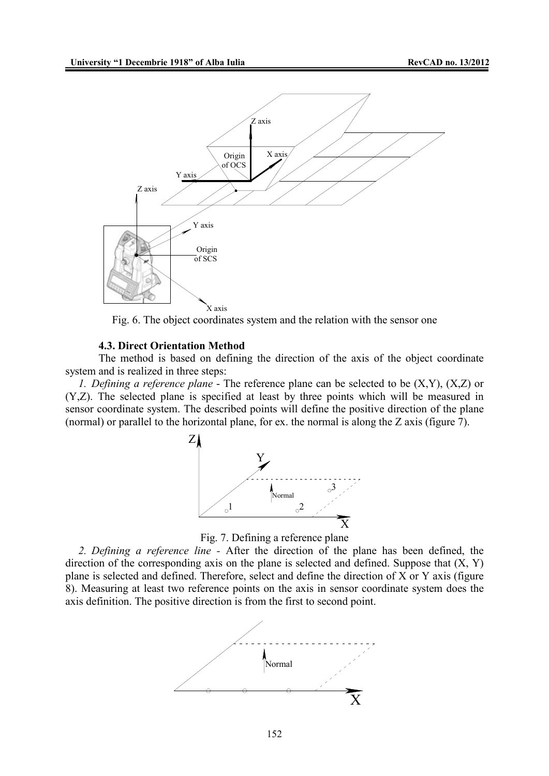

Fig. 6. The object coordinates system and the relation with the sensor one

#### **4.3. Direct Orientation Method**

The method is based on defining the direction of the axis of the object coordinate system and is realized in three steps:

*1. Defining a reference plane* - The reference plane can be selected to be (X,Y), (X,Z) or (Y,Z). The selected plane is specified at least by three points which will be measured in sensor coordinate system. The described points will define the positive direction of the plane (normal) or parallel to the horizontal plane, for ex. the normal is along the Z axis (figure 7).





*2. Defining a reference line -* After the direction of the plane has been defined, the direction of the corresponding axis on the plane is selected and defined. Suppose that  $(X, Y)$ plane is selected and defined. Therefore, select and define the direction of X or Y axis (figure 8). Measuring at least two reference points on the axis in sensor coordinate system does the axis definition. The positive direction is from the first to second point.

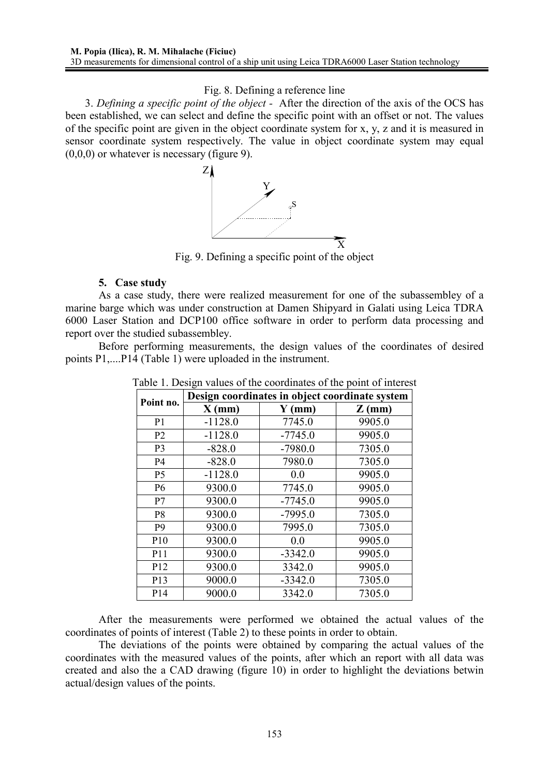## Fig. 8. Defining a reference line

3. *Defining a specific point of the object -* After the direction of the axis of the OCS has been established, we can select and define the specific point with an offset or not. The values of the specific point are given in the object coordinate system for x, y, z and it is measured in sensor coordinate system respectively. The value in object coordinate system may equal  $(0,0,0)$  or whatever is necessary (figure 9).



Fig. 9. Defining a specific point of the object

# **5. Case study**

As a case study, there were realized measurement for one of the subassembley of a marine barge which was under construction at Damen Shipyard in Galati using Leica TDRA 6000 Laser Station and DCP100 office software in order to perform data processing and report over the studied subassembley.

Before performing measurements, the design values of the coordinates of desired points P1,....P14 (Table 1) were uploaded in the instrument.

| Point no.       | Design coordinates in object coordinate system |           |          |  |  |
|-----------------|------------------------------------------------|-----------|----------|--|--|
|                 | $X$ (mm)                                       | $Y$ (mm)  | $Z$ (mm) |  |  |
| P <sub>1</sub>  | $-1128.0$                                      | 7745.0    | 9905.0   |  |  |
| P <sub>2</sub>  | $-1128.0$                                      | $-7745.0$ | 9905.0   |  |  |
| P <sub>3</sub>  | $-828.0$                                       | $-7980.0$ | 7305.0   |  |  |
| P4              | $-828.0$                                       | 7980.0    | 7305.0   |  |  |
| P <sub>5</sub>  | $-1128.0$                                      | 0.0       | 9905.0   |  |  |
| P <sub>6</sub>  | 9300.0                                         | 7745.0    | 9905.0   |  |  |
| P7              | 9300.0                                         | $-7745.0$ | 9905.0   |  |  |
| P <sub>8</sub>  | 9300.0                                         | $-7995.0$ | 7305.0   |  |  |
| P <sub>9</sub>  | 9300.0                                         | 7995.0    | 7305.0   |  |  |
| P10             | 9300.0                                         | 0.0       | 9905.0   |  |  |
| P11             | 9300.0                                         | $-3342.0$ | 9905.0   |  |  |
| P12             | 9300.0                                         | 3342.0    | 9905.0   |  |  |
| P13             | 9000.0                                         | $-3342.0$ | 7305.0   |  |  |
| P <sub>14</sub> | 9000.0                                         | 3342.0    | 7305.0   |  |  |

Table 1. Design values of the coordinates of the point of interest

After the measurements were performed we obtained the actual values of the coordinates of points of interest (Table 2) to these points in order to obtain.

The deviations of the points were obtained by comparing the actual values of the coordinates with the measured values of the points, after which an report with all data was created and also the a CAD drawing (figure 10) in order to highlight the deviations betwin actual/design values of the points.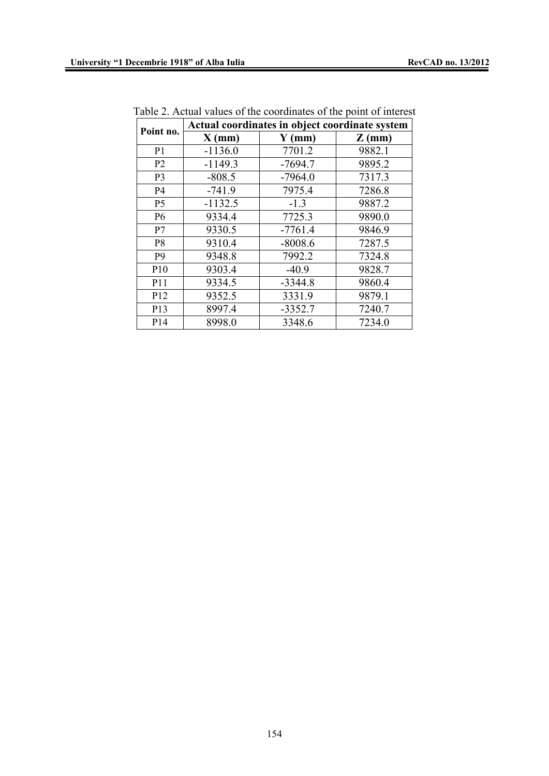| Point no.      | $\sim$ 01 m, $\sim$ 01 minutes of the point of $\sim$<br>Actual coordinates in object coordinate system |           |          |  |  |
|----------------|---------------------------------------------------------------------------------------------------------|-----------|----------|--|--|
|                | $X$ (mm)                                                                                                | $Y$ (mm)  | $Z$ (mm) |  |  |
| P <sub>1</sub> | $-1136.0$                                                                                               | 7701.2    | 9882.1   |  |  |
| P <sub>2</sub> | $-1149.3$                                                                                               | $-7694.7$ | 9895.2   |  |  |
| P <sub>3</sub> | $-808.5$                                                                                                | $-7964.0$ | 7317.3   |  |  |
| <b>P4</b>      | $-741.9$                                                                                                | 7975.4    | 7286.8   |  |  |
| P5             | $-1132.5$                                                                                               | $-1.3$    | 9887.2   |  |  |
| <b>P6</b>      | 9334.4                                                                                                  | 7725.3    | 9890.0   |  |  |
| P7             | 9330.5                                                                                                  | $-7761.4$ | 9846.9   |  |  |
| P <sub>8</sub> | 9310.4                                                                                                  | $-8008.6$ | 7287.5   |  |  |
| P <sub>9</sub> | 9348.8                                                                                                  | 7992.2    | 7324.8   |  |  |
| P10            | 9303.4                                                                                                  | $-40.9$   | 9828.7   |  |  |
| P11            | 9334.5                                                                                                  | $-3344.8$ | 9860.4   |  |  |
| P12            | 9352.5                                                                                                  | 3331.9    | 9879.1   |  |  |
| P13            | 8997.4                                                                                                  | $-3352.7$ | 7240.7   |  |  |
| P14            | 8998.0                                                                                                  | 3348.6    | 7234.0   |  |  |

Table 2. Actual values of the coordinates of the point of interest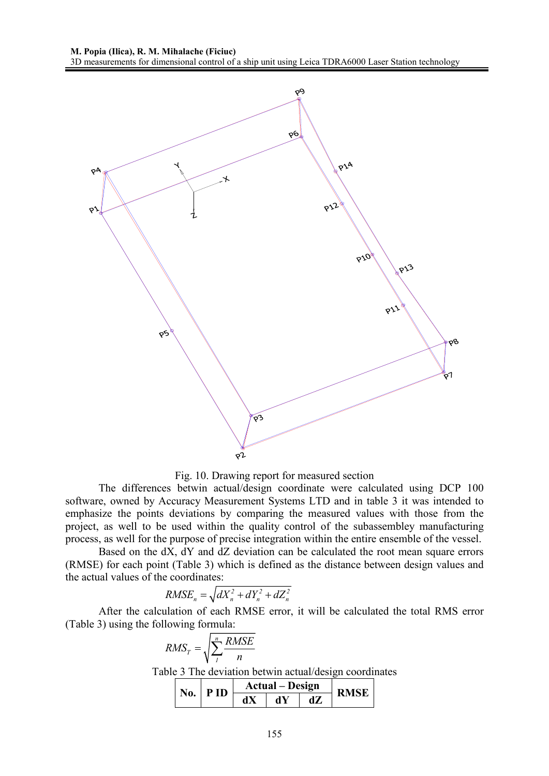

Fig. 10. Drawing report for measured section

The differences betwin actual/design coordinate were calculated using DCP 100 software, owned by Accuracy Measurement Systems LTD and in table 3 it was intended to emphasize the points deviations by comparing the measured values with those from the project, as well to be used within the quality control of the subassembley manufacturing process, as well for the purpose of precise integration within the entire ensemble of the vessel.

Based on the dX, dY and dZ deviation can be calculated the root mean square errors (RMSE) for each point (Table 3) which is defined as the distance between design values and the actual values of the coordinates:

$$
RMSE_n = \sqrt{dX_n^2 + dY_n^2 + dZ_n^2}
$$

 After the calculation of each RMSE error, it will be calculated the total RMS error (Table 3) using the following formula:

| $RMS_T = \sqrt{\sum_{i}^{n} \frac{RMSE}{n}}$ |                                                        |  |
|----------------------------------------------|--------------------------------------------------------|--|
|                                              | Table 3 The deviation betwin actual/design coordinates |  |
|                                              |                                                        |  |

| $No.$ PID | <b>Actual</b> – Design |  |  |  |
|-----------|------------------------|--|--|--|
|           |                        |  |  |  |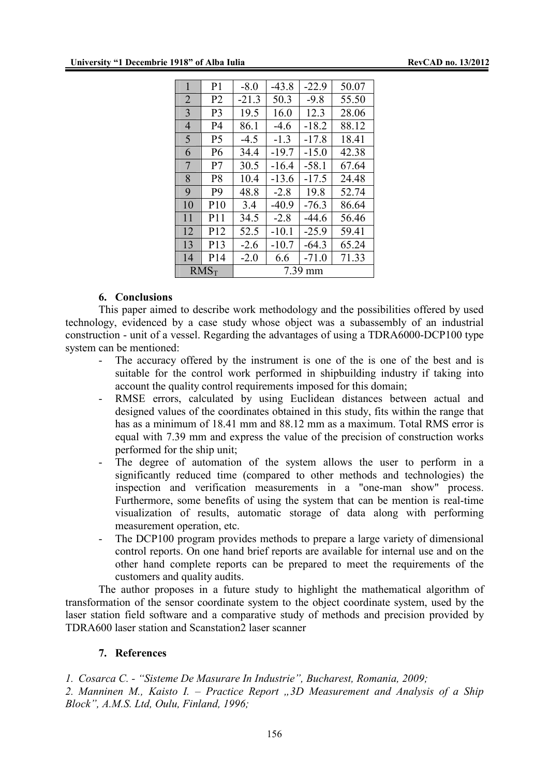| 1              | P1              | $-8.0$     | $-43.8$ | $-22.9$ | 50.07 |
|----------------|-----------------|------------|---------|---------|-------|
| $\overline{2}$ | P <sub>2</sub>  | $-21.3$    | 50.3    | $-9.8$  | 55.50 |
| 3              | P3              | 19.5       | 16.0    | 12.3    | 28.06 |
| 4              | P4              | 86.1       | -4.6    | $-18.2$ | 88.12 |
| 5              | P5              | $-4.5$     | $-1.3$  | $-17.8$ | 18.41 |
| 6              | P6              | 34.4       | $-19.7$ | $-15.0$ | 42.38 |
| 7              | P7              | 30.5       | $-16.4$ | $-58.1$ | 67.64 |
| 8              | P8              | 10.4       | $-13.6$ | $-17.5$ | 24.48 |
| 9              | P9              | 48.8       | $-2.8$  | 19.8    | 52.74 |
| 10             | P10             | 3.4        | -40 9   | $-76.3$ | 86.64 |
| 11             | P <sub>11</sub> | 34.5       | $-2.8$  | -44 6   | 56.46 |
| 12             | P <sub>12</sub> | 52.5       | $-10.1$ | -259    | 59.41 |
| 13             | P <sub>13</sub> | -26        | $-10.7$ | $-64.3$ | 65.24 |
| 14             | P <sub>14</sub> | $-2.0$     | 6.6     | $-71.0$ | 71.33 |
| $RMS_T$        |                 | 7.39<br>mm |         |         |       |

#### **6. Conclusions**

This paper aimed to describe work methodology and the possibilities offered by used technology, evidenced by a case study whose object was a subassembly of an industrial construction - unit of a vessel. Regarding the advantages of using a TDRA6000-DCP100 type system can be mentioned:

- The accuracy offered by the instrument is one of the is one of the best and is suitable for the control work performed in shipbuilding industry if taking into account the quality control requirements imposed for this domain;
- RMSE errors, calculated by using Euclidean distances between actual and designed values of the coordinates obtained in this study, fits within the range that has as a minimum of 18.41 mm and 88.12 mm as a maximum. Total RMS error is equal with 7.39 mm and express the value of the precision of construction works performed for the ship unit;
- The degree of automation of the system allows the user to perform in a significantly reduced time (compared to other methods and technologies) the inspection and verification measurements in a "one-man show" process. Furthermore, some benefits of using the system that can be mention is real-time visualization of results, automatic storage of data along with performing measurement operation, etc.
- The DCP100 program provides methods to prepare a large variety of dimensional control reports. On one hand brief reports are available for internal use and on the other hand complete reports can be prepared to meet the requirements of the customers and quality audits.

The author proposes in a future study to highlight the mathematical algorithm of transformation of the sensor coordinate system to the object coordinate system, used by the laser station field software and a comparative study of methods and precision provided by TDRA600 laser station and Scanstation2 laser scanner

## **7. References**

*1. Cosarca C. - "Sisteme De Masurare In Industrie", Bucharest, Romania, 2009;*

*2. Manninen M., Kaisto I. – Practice Report "3D Measurement and Analysis of a Ship Block", A.M.S. Ltd, Oulu, Finland, 1996;*